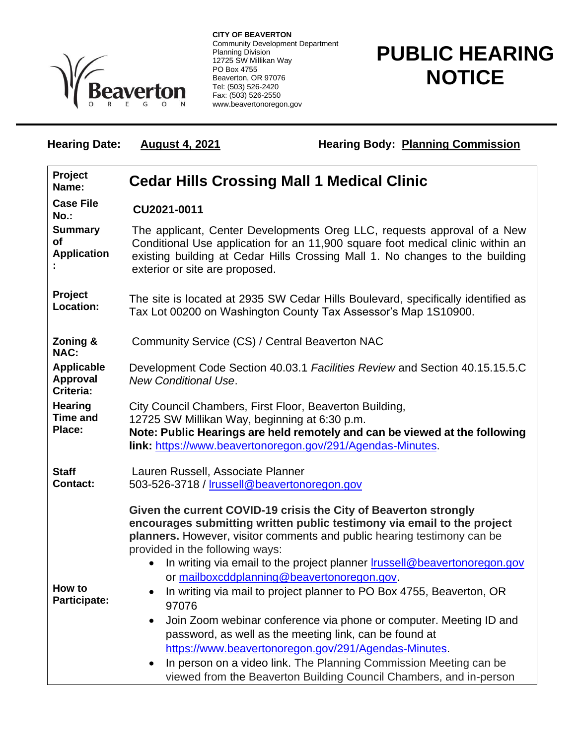

**CITY OF BEAVERTON** Community Development Department Planning Division 12725 SW Millikan Way PO Box 4755 Beaverton, OR 97076 Tel: (503) 526-2420 Fax: (503) 526-2550 www.beavertonoregon.gov

## **PUBLIC HEARING NOTICE**

| <b>Hearing Date:</b>                              | <b>August 4, 2021</b>                                                                                                                                                                                                                                                       | <b>Hearing Body: Planning Commission</b>                                                                                                                                                                                                                                                                                                                                                                                                                                                                                                                                                                                                                                                                                                                           |  |
|---------------------------------------------------|-----------------------------------------------------------------------------------------------------------------------------------------------------------------------------------------------------------------------------------------------------------------------------|--------------------------------------------------------------------------------------------------------------------------------------------------------------------------------------------------------------------------------------------------------------------------------------------------------------------------------------------------------------------------------------------------------------------------------------------------------------------------------------------------------------------------------------------------------------------------------------------------------------------------------------------------------------------------------------------------------------------------------------------------------------------|--|
| Project<br>Name:                                  | <b>Cedar Hills Crossing Mall 1 Medical Clinic</b>                                                                                                                                                                                                                           |                                                                                                                                                                                                                                                                                                                                                                                                                                                                                                                                                                                                                                                                                                                                                                    |  |
| <b>Case File</b><br>No.:                          | CU2021-0011                                                                                                                                                                                                                                                                 |                                                                                                                                                                                                                                                                                                                                                                                                                                                                                                                                                                                                                                                                                                                                                                    |  |
| <b>Summary</b><br><b>of</b><br><b>Application</b> | The applicant, Center Developments Oreg LLC, requests approval of a New<br>Conditional Use application for an 11,900 square foot medical clinic within an<br>existing building at Cedar Hills Crossing Mall 1. No changes to the building<br>exterior or site are proposed. |                                                                                                                                                                                                                                                                                                                                                                                                                                                                                                                                                                                                                                                                                                                                                                    |  |
| Project<br>Location:                              | The site is located at 2935 SW Cedar Hills Boulevard, specifically identified as<br>Tax Lot 00200 on Washington County Tax Assessor's Map 1S10900.                                                                                                                          |                                                                                                                                                                                                                                                                                                                                                                                                                                                                                                                                                                                                                                                                                                                                                                    |  |
| Zoning &<br><b>NAC:</b>                           | Community Service (CS) / Central Beaverton NAC                                                                                                                                                                                                                              |                                                                                                                                                                                                                                                                                                                                                                                                                                                                                                                                                                                                                                                                                                                                                                    |  |
| <b>Applicable</b><br><b>Approval</b><br>Criteria: | <b>New Conditional Use.</b>                                                                                                                                                                                                                                                 | Development Code Section 40.03.1 Facilities Review and Section 40.15.15.5.C                                                                                                                                                                                                                                                                                                                                                                                                                                                                                                                                                                                                                                                                                        |  |
| <b>Hearing</b><br><b>Time and</b><br>Place:       | City Council Chambers, First Floor, Beaverton Building,<br>12725 SW Millikan Way, beginning at 6:30 p.m.                                                                                                                                                                    | Note: Public Hearings are held remotely and can be viewed at the following<br>link: https://www.beavertonoregon.gov/291/Agendas-Minutes.                                                                                                                                                                                                                                                                                                                                                                                                                                                                                                                                                                                                                           |  |
| <b>Staff</b><br><b>Contact:</b>                   | Lauren Russell, Associate Planner<br>503-526-3718 / Irussell@beavertonoregon.gov                                                                                                                                                                                            |                                                                                                                                                                                                                                                                                                                                                                                                                                                                                                                                                                                                                                                                                                                                                                    |  |
| How to<br>Participate:                            | provided in the following ways:<br>97076<br>$\bullet$<br>$\bullet$                                                                                                                                                                                                          | Given the current COVID-19 crisis the City of Beaverton strongly<br>encourages submitting written public testimony via email to the project<br>planners. However, visitor comments and public hearing testimony can be<br>In writing via email to the project planner <b>Irussell@beavertonoregon.gov</b><br>or mailboxcddplanning@beavertonoregon.gov.<br>In writing via mail to project planner to PO Box 4755, Beaverton, OR<br>Join Zoom webinar conference via phone or computer. Meeting ID and<br>password, as well as the meeting link, can be found at<br>https://www.beavertonoregon.gov/291/Agendas-Minutes.<br>In person on a video link. The Planning Commission Meeting can be<br>viewed from the Beaverton Building Council Chambers, and in-person |  |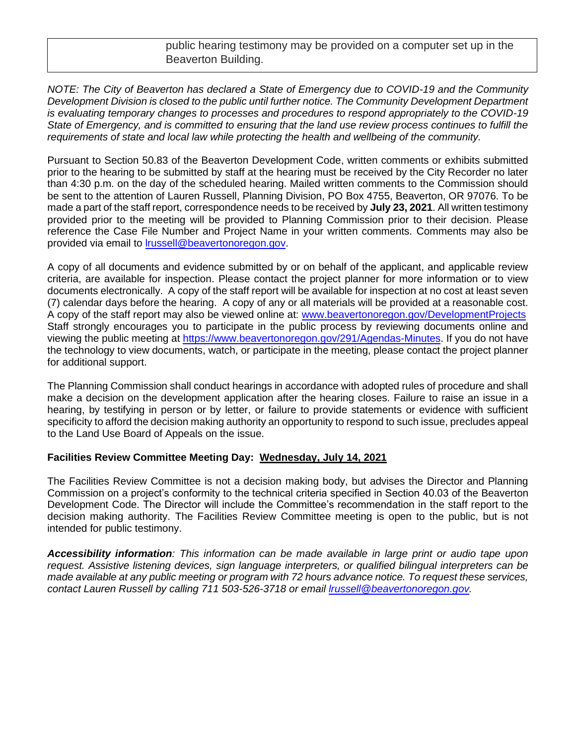public hearing testimony may be provided on a computer set up in the Beaverton Building.

*NOTE: The City of Beaverton has declared a State of Emergency due to COVID-19 and the Community Development Division is closed to the public until further notice. The Community Development Department is evaluating temporary changes to processes and procedures to respond appropriately to the COVID-19 State of Emergency, and is committed to ensuring that the land use review process continues to fulfill the*  requirements of state and local law while protecting the health and wellbeing of the *community*.

Pursuant to Section 50.83 of the Beaverton Development Code, written comments or exhibits submitted prior to the hearing to be submitted by staff at the hearing must be received by the City Recorder no later than 4:30 p.m. on the day of the scheduled hearing. Mailed written comments to the Commission should be sent to the attention of Lauren Russell, Planning Division, PO Box 4755, Beaverton, OR 97076. To be made a part of the staff report, correspondence needs to be received by **July 23, 2021**. All written testimony provided prior to the meeting will be provided to Planning Commission prior to their decision. Please reference the Case File Number and Project Name in your written comments. Comments may also be provided via email to [lrussell@beavertonoregon.gov.](mailto:lrussell@beavertonoregon.gov)

A copy of all documents and evidence submitted by or on behalf of the applicant, and applicable review criteria, are available for inspection. Please contact the project planner for more information or to view documents electronically. A copy of the staff report will be available for inspection at no cost at least seven (7) calendar days before the hearing. A copy of any or all materials will be provided at a reasonable cost. A copy of the staff report may also be viewed online at: [www.beavertonoregon.gov/DevelopmentProjects](http://www.beavertonoregon.gov/DevelopmentProjects) Staff strongly encourages you to participate in the public process by reviewing documents online and viewing the public meeting at [https://www.beavertonoregon.gov/291/Agendas-Minutes.](https://www.beavertonoregon.gov/291/Agendas-Minutes) If you do not have the technology to view documents, watch, or participate in the meeting, please contact the project planner for additional support.

The Planning Commission shall conduct hearings in accordance with adopted rules of procedure and shall make a decision on the development application after the hearing closes. Failure to raise an issue in a hearing, by testifying in person or by letter, or failure to provide statements or evidence with sufficient specificity to afford the decision making authority an opportunity to respond to such issue, precludes appeal to the Land Use Board of Appeals on the issue.

## **Facilities Review Committee Meeting Day: Wednesday, July 14, 2021**

The Facilities Review Committee is not a decision making body, but advises the Director and Planning Commission on a project's conformity to the technical criteria specified in Section 40.03 of the Beaverton Development Code. The Director will include the Committee's recommendation in the staff report to the decision making authority. The Facilities Review Committee meeting is open to the public, but is not intended for public testimony.

*Accessibility information: This information can be made available in large print or audio tape upon request. Assistive listening devices, sign language interpreters, or qualified bilingual interpreters can be made available at any public meeting or program with 72 hours advance notice. To request these services, contact Lauren Russell by calling 711 503-526-3718 or email [lrussell@beavertonoregon.gov.](mailto:lrussell@beavertonoregon.gov)*